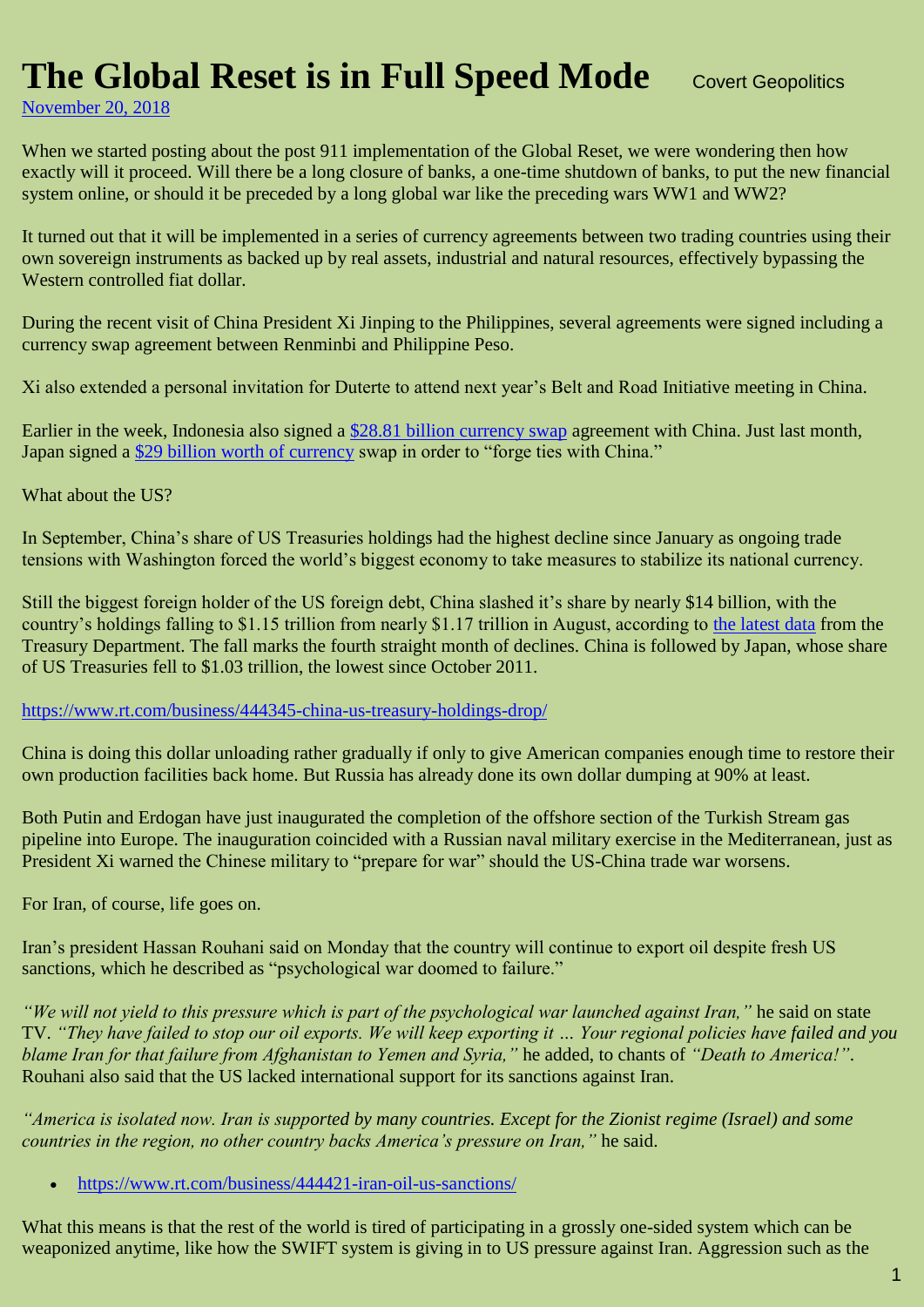## **The Global Reset is in Full Speed Mode** Covert Geopolitics

[November 20, 2018](https://geopolitics.co/2018/11/20/the-global-reset-is-in-full-speed-mode/)

When we started posting about the post 911 implementation of the Global Reset, we were wondering then how exactly will it proceed. Will there be a long closure of banks, a one-time shutdown of banks, to put the new financial system online, or should it be preceded by a long global war like the preceding wars WW1 and WW2?

It turned out that it will be implemented in a series of currency agreements between two trading countries using their own sovereign instruments as backed up by real assets, industrial and natural resources, effectively bypassing the Western controlled fiat dollar.

During the recent visit of China President Xi Jinping to the Philippines, several agreements were signed including a currency swap agreement between Renminbi and Philippine Peso.

Xi also extended a personal invitation for Duterte to attend next year's Belt and Road Initiative meeting in China.

Earlier in the week, Indonesia also signed a [\\$28.81 billion currency swap](https://www.rt.com/business/444370-china-indonesia-currency-swap-deal/) agreement with China. Just last month, Japan signed a [\\$29 billion worth of currency](https://www.scmp.com/economy/china-economy/article/2170426/china-and-japan-sign-us29-billion-currency-swap-forge-closer) swap in order to "forge ties with China."

What about the US?

In September, China's share of US Treasuries holdings had the highest decline since January as ongoing trade tensions with Washington forced the world's biggest economy to take measures to stabilize its national currency.

Still the biggest foreign holder of the US foreign debt, China slashed it's share by nearly \$14 billion, with the country's holdings falling to \$1.15 trillion from nearly \$1.17 trillion in August, according to [the latest data](http://ticdata.treasury.gov/Publish/mfh.txt) from the Treasury Department. The fall marks the fourth straight month of declines. China is followed by Japan, whose share of US Treasuries fell to \$1.03 trillion, the lowest since October 2011.

<https://www.rt.com/business/444345-china-us-treasury-holdings-drop/>

China is doing this dollar unloading rather gradually if only to give American companies enough time to restore their own production facilities back home. But Russia has already done its own dollar dumping at 90% at least.

Both Putin and Erdogan have just inaugurated the completion of the offshore section of the Turkish Stream gas pipeline into Europe. The inauguration coincided with a Russian naval military exercise in the Mediterranean, just as President Xi warned the Chinese military to "prepare for war" should the US-China trade war worsens.

For Iran, of course, life goes on.

Iran's president Hassan Rouhani said on Monday that the country will continue to export oil despite fresh US sanctions, which he described as "psychological war doomed to failure."

*"We will not yield to this pressure which is part of the psychological war launched against Iran,"* he said on state TV. *"They have failed to stop our oil exports. We will keep exporting it … Your regional policies have failed and you blame Iran for that failure from Afghanistan to Yemen and Syria,"* he added, to chants of *"Death to America!"*. Rouhani also said that the US lacked international support for its sanctions against Iran.

*"America is isolated now. Iran is supported by many countries. Except for the Zionist regime (Israel) and some countries in the region, no other country backs America's pressure on Iran,"* he said.

<https://www.rt.com/business/444421-iran-oil-us-sanctions/>

What this means is that the rest of the world is tired of participating in a grossly one-sided system which can be weaponized anytime, like how the SWIFT system is giving in to US pressure against Iran. Aggression such as the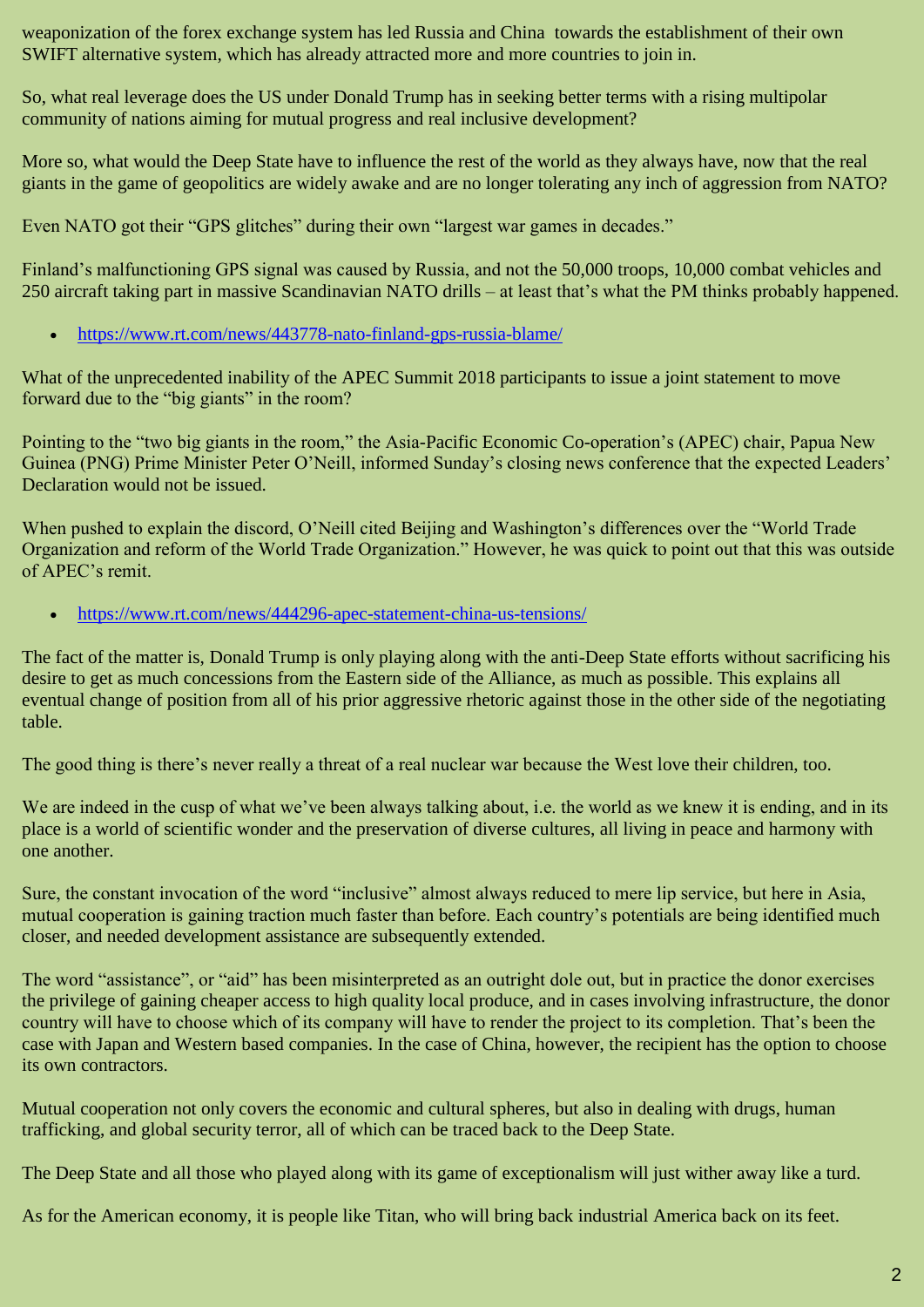weaponization of the forex exchange system has led Russia and China towards the establishment of their own SWIFT alternative system, which has already attracted more and more countries to join in.

So, what real leverage does the US under Donald Trump has in seeking better terms with a rising multipolar community of nations aiming for mutual progress and real inclusive development?

More so, what would the Deep State have to influence the rest of the world as they always have, now that the real giants in the game of geopolitics are widely awake and are no longer tolerating any inch of aggression from NATO?

Even NATO got their "GPS glitches" during their own "largest war games in decades."

Finland's malfunctioning GPS signal was caused by Russia, and not the 50,000 troops, 10,000 combat vehicles and 250 aircraft taking part in massive Scandinavian NATO drills – at least that's what the PM thinks probably happened.

<https://www.rt.com/news/443778-nato-finland-gps-russia-blame/>

What of the unprecedented inability of the APEC Summit 2018 participants to issue a joint statement to move forward due to the "big giants" in the room?

Pointing to the "two big giants in the room," the Asia-Pacific Economic Co-operation's (APEC) chair, Papua New Guinea (PNG) Prime Minister Peter O'Neill, informed Sunday's closing news conference that the expected Leaders' Declaration would not be issued.

When pushed to explain the discord, O'Neill cited Beijing and Washington's differences over the "World Trade Organization and reform of the World Trade Organization." However, he was quick to point out that this was outside of APEC's remit.

<https://www.rt.com/news/444296-apec-statement-china-us-tensions/>

The fact of the matter is, Donald Trump is only playing along with the anti-Deep State efforts without sacrificing his desire to get as much concessions from the Eastern side of the Alliance, as much as possible. This explains all eventual change of position from all of his prior aggressive rhetoric against those in the other side of the negotiating table.

The good thing is there's never really a threat of a real nuclear war because the West love their children, too.

We are indeed in the cusp of what we've been always talking about, i.e. the world as we knew it is ending, and in its place is a world of scientific wonder and the preservation of diverse cultures, all living in peace and harmony with one another.

Sure, the constant invocation of the word "inclusive" almost always reduced to mere lip service, but here in Asia, mutual cooperation is gaining traction much faster than before. Each country's potentials are being identified much closer, and needed development assistance are subsequently extended.

The word "assistance", or "aid" has been misinterpreted as an outright dole out, but in practice the donor exercises the privilege of gaining cheaper access to high quality local produce, and in cases involving infrastructure, the donor country will have to choose which of its company will have to render the project to its completion. That's been the case with Japan and Western based companies. In the case of China, however, the recipient has the option to choose its own contractors.

Mutual cooperation not only covers the economic and cultural spheres, but also in dealing with drugs, human trafficking, and global security terror, all of which can be traced back to the Deep State.

The Deep State and all those who played along with its game of exceptionalism will just wither away like a turd.

As for the American economy, it is people like Titan, who will bring back industrial America back on its feet.